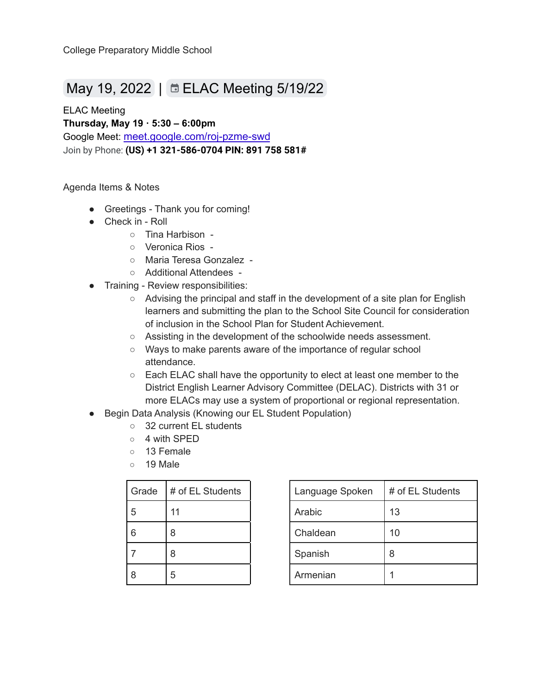## May 19, 2022 | ELAC [Meeting](https://www.google.com/calendar/event?eid=NWE1b29rdWZ2b3IwMjk2NWtvNjQ3dW5maG4gdGhhcmJpc29uQG15Y3Btcy5uZXQ) 5/19/22

ELAC Meeting **Thursday, May 19 · 5:30 – 6:00pm** Google Meet: [meet.google.com/roj-pzme-swd](https://meet.google.com/roj-pzme-swd?hs=224) Join by Phone: **(US) +1 321-586-0704 PIN: 891 758 581#**

## Agenda Items & Notes

- Greetings Thank you for coming!
- Check in Roll
	- Tina Harbison -
	- Veronica Rios -
	- Maria Teresa Gonzalez -
	- Additional Attendees -
- Training Review responsibilities:
	- Advising the principal and staff in the development of a site plan for English learners and submitting the plan to the School Site Council for consideration of inclusion in the School Plan for Student Achievement.
	- Assisting in the development of the schoolwide needs assessment.
	- Ways to make parents aware of the importance of regular school attendance.
	- Each ELAC shall have the opportunity to elect at least one member to the District English Learner Advisory Committee (DELAC). Districts with 31 or more ELACs may use a system of proportional or regional representation.
- Begin Data Analysis (Knowing our EL Student Population)
	- 32 current EL students
	- 4 with SPED
	- 13 Female
	- 19 Male

| Grade | # of EL Students | Language Spoken | # o |
|-------|------------------|-----------------|-----|
| 5     |                  | Arabic          | 13  |
| 6     | 8                | Chaldean        | 10  |
|       | 8                | Spanish         | 8   |
| 8     | 5                | Armenian        |     |

| Grade | # of EL Students | Language Spoken | # of EL Students |
|-------|------------------|-----------------|------------------|
| 5     |                  | Arabic          | 13               |
| 6     | 8                | Chaldean        | 10               |
|       | 8                | Spanish         | 8                |
| 8     | 5                | Armenian        |                  |